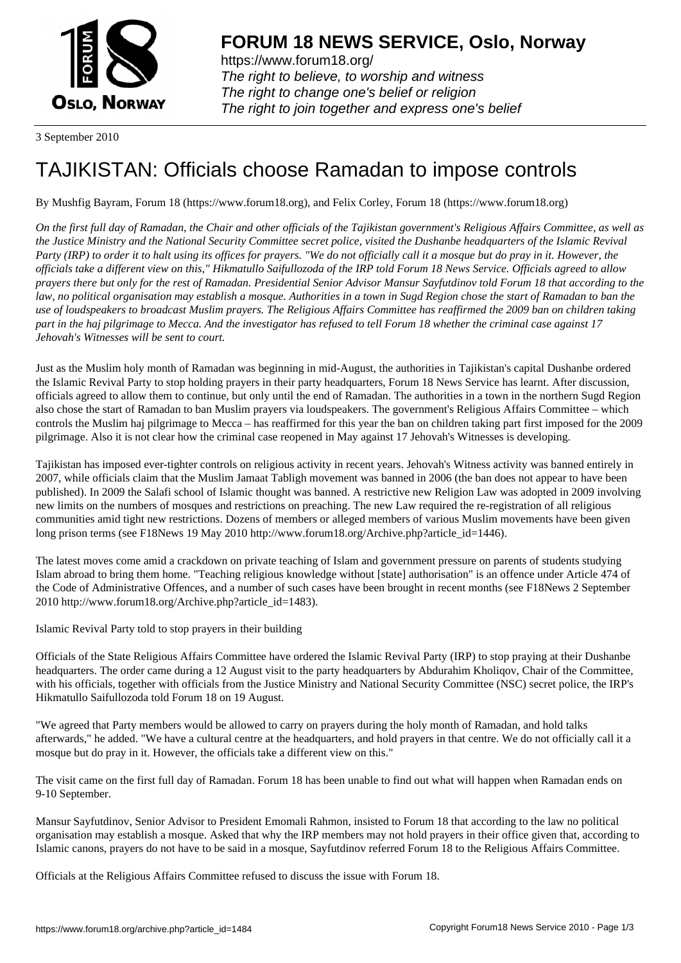

https://www.forum18.org/ The right to believe, to worship and witness The right to change one's belief or religion [The right to join together a](https://www.forum18.org/)nd express one's belief

3 September 2010

## [TAJIKISTAN: O](https://www.forum18.org)fficials choose Ramadan to impose controls

By Mushfig Bayram, Forum 18 (https://www.forum18.org), and Felix Corley, Forum 18 (https://www.forum18.org)

*On the first full day of Ramadan, the Chair and other officials of the Tajikistan government's Religious Affairs Committee, as well as the Justice Ministry and the National Security Committee secret police, visited the Dushanbe headquarters of the Islamic Revival Party (IRP) to order it to halt using its offices for prayers. "We do not officially call it a mosque but do pray in it. However, the officials take a different view on this," Hikmatullo Saifullozoda of the IRP told Forum 18 News Service. Officials agreed to allow prayers there but only for the rest of Ramadan. Presidential Senior Advisor Mansur Sayfutdinov told Forum 18 that according to the law, no political organisation may establish a mosque. Authorities in a town in Sugd Region chose the start of Ramadan to ban the use of loudspeakers to broadcast Muslim prayers. The Religious Affairs Committee has reaffirmed the 2009 ban on children taking part in the haj pilgrimage to Mecca. And the investigator has refused to tell Forum 18 whether the criminal case against 17 Jehovah's Witnesses will be sent to court.*

Just as the Muslim holy month of Ramadan was beginning in mid-August, the authorities in Tajikistan's capital Dushanbe ordered the Islamic Revival Party to stop holding prayers in their party headquarters, Forum 18 News Service has learnt. After discussion, officials agreed to allow them to continue, but only until the end of Ramadan. The authorities in a town in the northern Sugd Region also chose the start of Ramadan to ban Muslim prayers via loudspeakers. The government's Religious Affairs Committee – which controls the Muslim haj pilgrimage to Mecca – has reaffirmed for this year the ban on children taking part first imposed for the 2009 pilgrimage. Also it is not clear how the criminal case reopened in May against 17 Jehovah's Witnesses is developing.

Tajikistan has imposed ever-tighter controls on religious activity in recent years. Jehovah's Witness activity was banned entirely in 2007, while officials claim that the Muslim Jamaat Tabligh movement was banned in 2006 (the ban does not appear to have been published). In 2009 the Salafi school of Islamic thought was banned. A restrictive new Religion Law was adopted in 2009 involving new limits on the numbers of mosques and restrictions on preaching. The new Law required the re-registration of all religious communities amid tight new restrictions. Dozens of members or alleged members of various Muslim movements have been given long prison terms (see F18News 19 May 2010 http://www.forum18.org/Archive.php?article\_id=1446).

The latest moves come amid a crackdown on private teaching of Islam and government pressure on parents of students studying Islam abroad to bring them home. "Teaching religious knowledge without [state] authorisation" is an offence under Article 474 of the Code of Administrative Offences, and a number of such cases have been brought in recent months (see F18News 2 September 2010 http://www.forum18.org/Archive.php?article\_id=1483).

Islamic Revival Party told to stop prayers in their building

Officials of the State Religious Affairs Committee have ordered the Islamic Revival Party (IRP) to stop praying at their Dushanbe headquarters. The order came during a 12 August visit to the party headquarters by Abdurahim Kholiqov, Chair of the Committee, with his officials, together with officials from the Justice Ministry and National Security Committee (NSC) secret police, the IRP's Hikmatullo Saifullozoda told Forum 18 on 19 August.

"We agreed that Party members would be allowed to carry on prayers during the holy month of Ramadan, and hold talks afterwards," he added. "We have a cultural centre at the headquarters, and hold prayers in that centre. We do not officially call it a mosque but do pray in it. However, the officials take a different view on this."

The visit came on the first full day of Ramadan. Forum 18 has been unable to find out what will happen when Ramadan ends on 9-10 September.

Mansur Sayfutdinov, Senior Advisor to President Emomali Rahmon, insisted to Forum 18 that according to the law no political organisation may establish a mosque. Asked that why the IRP members may not hold prayers in their office given that, according to Islamic canons, prayers do not have to be said in a mosque, Sayfutdinov referred Forum 18 to the Religious Affairs Committee.

Officials at the Religious Affairs Committee refused to discuss the issue with Forum 18.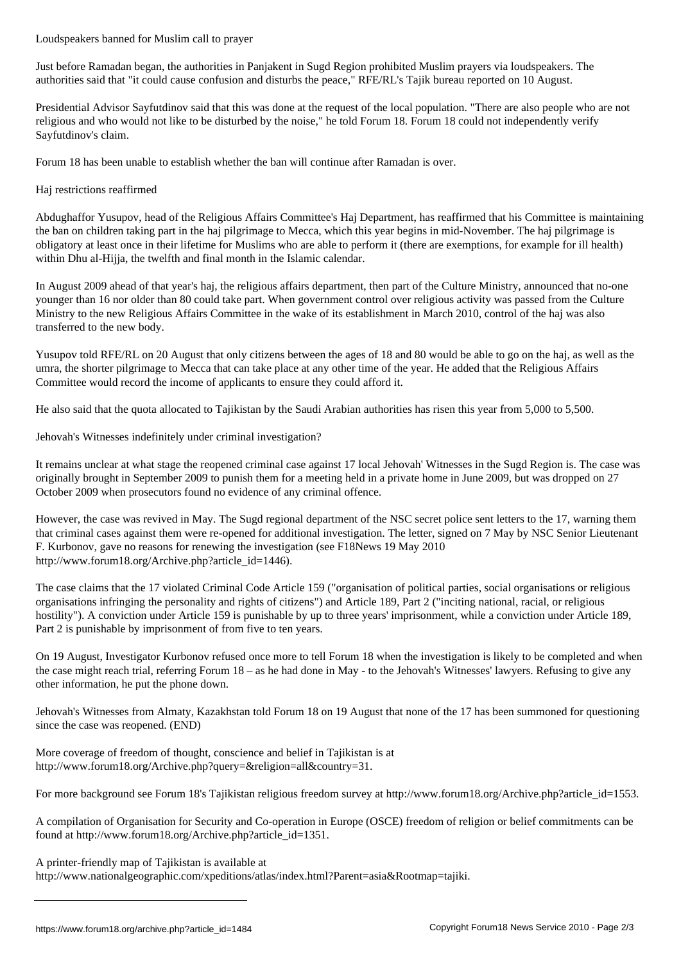Just before Ramadan began, the authorities in Panjakent in Sugd Region prohibited Muslim prayers via loudspeakers. The authorities said that "it could cause confusion and disturbs the peace," RFE/RL's Tajik bureau reported on 10 August.

Presidential Advisor Sayfutdinov said that this was done at the request of the local population. "There are also people who are not religious and who would not like to be disturbed by the noise," he told Forum 18. Forum 18 could not independently verify Sayfutdinov's claim.

Forum 18 has been unable to establish whether the ban will continue after Ramadan is over.

## Haj restrictions reaffirmed

Abdughaffor Yusupov, head of the Religious Affairs Committee's Haj Department, has reaffirmed that his Committee is maintaining the ban on children taking part in the haj pilgrimage to Mecca, which this year begins in mid-November. The haj pilgrimage is obligatory at least once in their lifetime for Muslims who are able to perform it (there are exemptions, for example for ill health) within Dhu al-Hijja, the twelfth and final month in the Islamic calendar.

In August 2009 ahead of that year's haj, the religious affairs department, then part of the Culture Ministry, announced that no-one younger than 16 nor older than 80 could take part. When government control over religious activity was passed from the Culture Ministry to the new Religious Affairs Committee in the wake of its establishment in March 2010, control of the haj was also transferred to the new body.

Yusupov told RFE/RL on 20 August that only citizens between the ages of 18 and 80 would be able to go on the haj, as well as the umra, the shorter pilgrimage to Mecca that can take place at any other time of the year. He added that the Religious Affairs Committee would record the income of applicants to ensure they could afford it.

He also said that the quota allocated to Tajikistan by the Saudi Arabian authorities has risen this year from 5,000 to 5,500.

Jehovah's Witnesses indefinitely under criminal investigation?

It remains unclear at what stage the reopened criminal case against 17 local Jehovah' Witnesses in the Sugd Region is. The case was originally brought in September 2009 to punish them for a meeting held in a private home in June 2009, but was dropped on 27 October 2009 when prosecutors found no evidence of any criminal offence.

However, the case was revived in May. The Sugd regional department of the NSC secret police sent letters to the 17, warning them that criminal cases against them were re-opened for additional investigation. The letter, signed on 7 May by NSC Senior Lieutenant F. Kurbonov, gave no reasons for renewing the investigation (see F18News 19 May 2010 http://www.forum18.org/Archive.php?article\_id=1446).

The case claims that the 17 violated Criminal Code Article 159 ("organisation of political parties, social organisations or religious organisations infringing the personality and rights of citizens") and Article 189, Part 2 ("inciting national, racial, or religious hostility"). A conviction under Article 159 is punishable by up to three years' imprisonment, while a conviction under Article 189, Part 2 is punishable by imprisonment of from five to ten years.

On 19 August, Investigator Kurbonov refused once more to tell Forum 18 when the investigation is likely to be completed and when the case might reach trial, referring Forum 18 – as he had done in May - to the Jehovah's Witnesses' lawyers. Refusing to give any other information, he put the phone down.

Jehovah's Witnesses from Almaty, Kazakhstan told Forum 18 on 19 August that none of the 17 has been summoned for questioning since the case was reopened. (END)

More coverage of freedom of thought, conscience and belief in Tajikistan is at http://www.forum18.org/Archive.php?query=&religion=all&country=31.

For more background see Forum 18's Tajikistan religious freedom survey at http://www.forum18.org/Archive.php?article\_id=1553.

A compilation of Organisation for Security and Co-operation in Europe (OSCE) freedom of religion or belief commitments can be found at http://www.forum18.org/Archive.php?article\_id=1351.

A printer-friendly map of Tajikistan is available at

http://www.nationalgeographic.com/xpeditions/atlas/index.html?Parent=asia&Rootmap=tajiki.